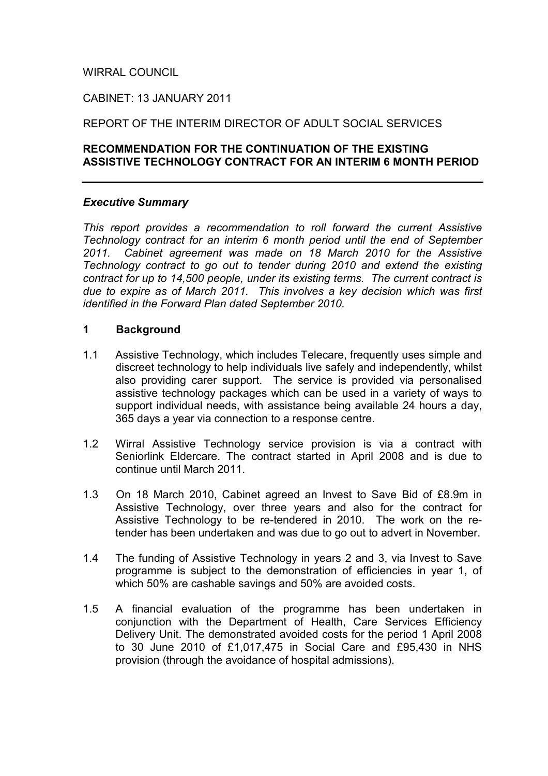## WIRRAL COUNCIL

### CABINET: 13 JANUARY 2011

### REPORT OF THE INTERIM DIRECTOR OF ADULT SOCIAL SERVICES

### **RECOMMENDATION FOR THE CONTINUATION OF THE EXISTING ASSISTIVE TECHNOLOGY CONTRACT FOR AN INTERIM 6 MONTH PERIOD**

#### *Executive Summary*

*This report provides a recommendation to roll forward the current Assistive Technology contract for an interim 6 month period until the end of September 2011. Cabinet agreement was made on 18 March 2010 for the Assistive Technology contract to go out to tender during 2010 and extend the existing contract for up to 14,500 people, under its existing terms. The current contract is due to expire as of March 2011. This involves a key decision which was first identified in the Forward Plan dated September 2010.* 

#### **1 Background**

- 1.1 Assistive Technology, which includes Telecare, frequently uses simple and discreet technology to help individuals live safely and independently, whilst also providing carer support. The service is provided via personalised assistive technology packages which can be used in a variety of ways to support individual needs, with assistance being available 24 hours a day, 365 days a year via connection to a response centre.
- 1.2 Wirral Assistive Technology service provision is via a contract with Seniorlink Eldercare. The contract started in April 2008 and is due to continue until March 2011.
- 1.3 On 18 March 2010, Cabinet agreed an Invest to Save Bid of £8.9m in Assistive Technology, over three years and also for the contract for Assistive Technology to be re-tendered in 2010. The work on the retender has been undertaken and was due to go out to advert in November.
- 1.4 The funding of Assistive Technology in years 2 and 3, via Invest to Save programme is subject to the demonstration of efficiencies in year 1, of which 50% are cashable savings and 50% are avoided costs.
- 1.5 A financial evaluation of the programme has been undertaken in conjunction with the Department of Health, Care Services Efficiency Delivery Unit. The demonstrated avoided costs for the period 1 April 2008 to 30 June 2010 of £1,017,475 in Social Care and £95,430 in NHS provision (through the avoidance of hospital admissions).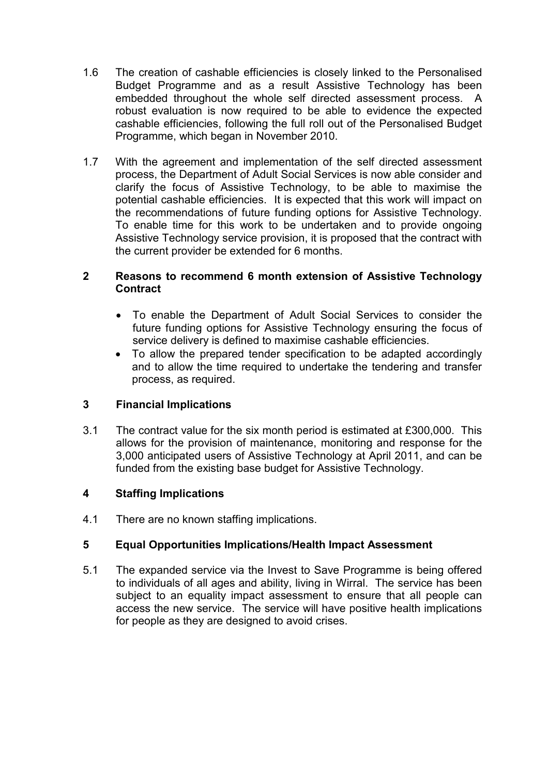- 1.6 The creation of cashable efficiencies is closely linked to the Personalised Budget Programme and as a result Assistive Technology has been embedded throughout the whole self directed assessment process. A robust evaluation is now required to be able to evidence the expected cashable efficiencies, following the full roll out of the Personalised Budget Programme, which began in November 2010.
- 1.7 With the agreement and implementation of the self directed assessment process, the Department of Adult Social Services is now able consider and clarify the focus of Assistive Technology, to be able to maximise the potential cashable efficiencies. It is expected that this work will impact on the recommendations of future funding options for Assistive Technology. To enable time for this work to be undertaken and to provide ongoing Assistive Technology service provision, it is proposed that the contract with the current provider be extended for 6 months.

## **2 Reasons to recommend 6 month extension of Assistive Technology Contract**

- To enable the Department of Adult Social Services to consider the future funding options for Assistive Technology ensuring the focus of service delivery is defined to maximise cashable efficiencies.
- To allow the prepared tender specification to be adapted accordingly and to allow the time required to undertake the tendering and transfer process, as required.

# **3 Financial Implications**

3.1 The contract value for the six month period is estimated at £300,000. This allows for the provision of maintenance, monitoring and response for the 3,000 anticipated users of Assistive Technology at April 2011, and can be funded from the existing base budget for Assistive Technology.

# **4 Staffing Implications**

4.1 There are no known staffing implications.

# **5 Equal Opportunities Implications/Health Impact Assessment**

5.1 The expanded service via the Invest to Save Programme is being offered to individuals of all ages and ability, living in Wirral. The service has been subject to an equality impact assessment to ensure that all people can access the new service. The service will have positive health implications for people as they are designed to avoid crises.